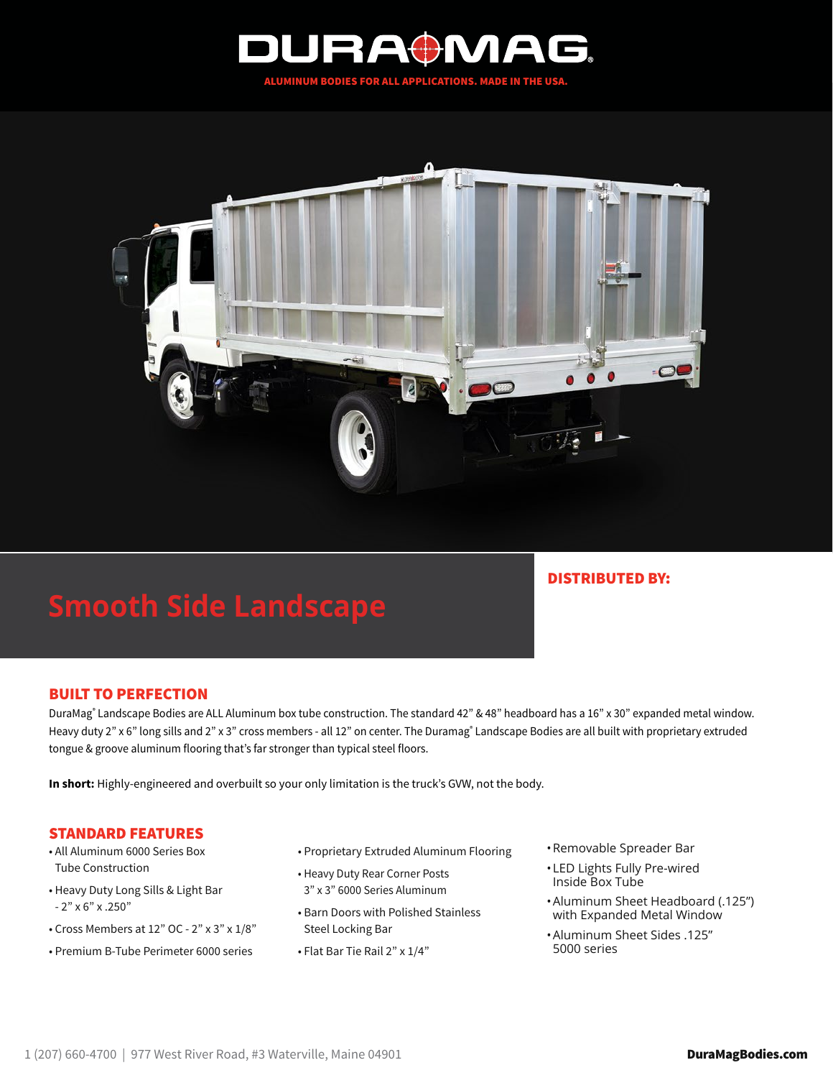



# **Smooth Side Landscape**

## DISTRIBUTED BY:

### BUILT TO PERFECTION

DuraMag® Landscape Bodies are ALL Aluminum box tube construction. The standard 42" & 48" headboard has a 16" x 30" expanded metal window. Heavy duty 2" x 6" long sills and 2" x 3" cross members - all 12" on center. The Duramag® Landscape Bodies are all built with proprietary extruded tongue & groove aluminum flooring that's far stronger than typical steel floors.

**In short:** Highly-engineered and overbuilt so your only limitation is the truck's GVW, not the body.

#### STANDARD FEATURES

- All Aluminum 6000 Series Box Tube Construction
- Heavy Duty Long Sills & Light Bar - 2" x 6" x .250"
- Cross Members at 12" OC 2" x 3" x 1/8"
- Premium B-Tube Perimeter 6000 series
- Proprietary Extruded Aluminum Flooring
- Heavy Duty Rear Corner Posts 3" x 3" 6000 Series Aluminum
- Barn Doors with Polished Stainless Steel Locking Bar
- Flat Bar Tie Rail 2" x 1/4"
- •Removable Spreader Bar
- •LED Lights Fully Pre-wired Inside Box Tube
- •Aluminum Sheet Headboard (.125") with Expanded Metal Window
- •Aluminum Sheet Sides .125" 5000 series